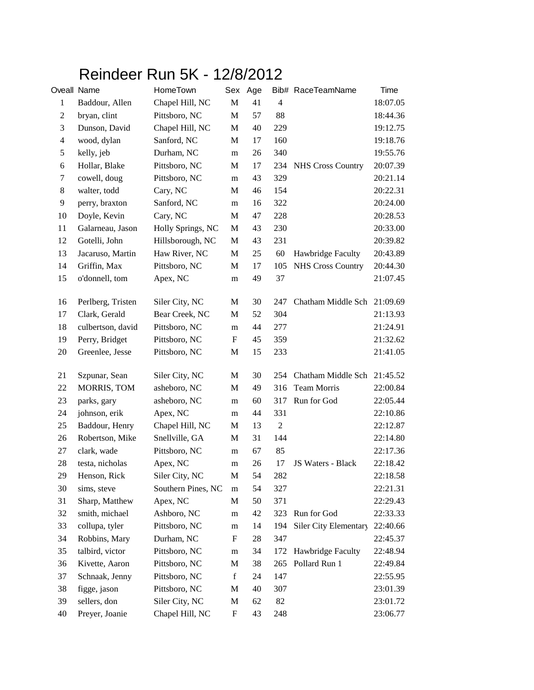## Reindeer Run 5K - 12/8/2012

| Oveall Name    |                   | HomeTown           | Sex Age                   |    |                | Bib# RaceTeamName        | Time     |
|----------------|-------------------|--------------------|---------------------------|----|----------------|--------------------------|----------|
| $\mathbf{1}$   | Baddour, Allen    | Chapel Hill, NC    | M                         | 41 | $\overline{4}$ |                          | 18:07.05 |
| $\overline{c}$ | bryan, clint      | Pittsboro, NC      | M                         | 57 | 88             |                          | 18:44.36 |
| $\mathfrak{Z}$ | Dunson, David     | Chapel Hill, NC    | M                         | 40 | 229            |                          | 19:12.75 |
| $\overline{4}$ | wood, dylan       | Sanford, NC        | M                         | 17 | 160            |                          | 19:18.76 |
| $\sqrt{5}$     | kelly, jeb        | Durham, NC         | m                         | 26 | 340            |                          | 19:55.76 |
| 6              | Hollar, Blake     | Pittsboro, NC      | M                         | 17 | 234            | <b>NHS Cross Country</b> | 20:07.39 |
| 7              | cowell, doug      | Pittsboro, NC      | m                         | 43 | 329            |                          | 20:21.14 |
| $8\,$          | walter, todd      | Cary, NC           | M                         | 46 | 154            |                          | 20:22.31 |
| 9              | perry, braxton    | Sanford, NC        | m                         | 16 | 322            |                          | 20:24.00 |
| 10             | Doyle, Kevin      | Cary, NC           | M                         | 47 | 228            |                          | 20:28.53 |
| 11             | Galarneau, Jason  | Holly Springs, NC  | M                         | 43 | 230            |                          | 20:33.00 |
| 12             | Gotelli, John     | Hillsborough, NC   | M                         | 43 | 231            |                          | 20:39.82 |
| 13             | Jacaruso, Martin  | Haw River, NC      | M                         | 25 | 60             | Hawbridge Faculty        | 20:43.89 |
| 14             | Griffin, Max      | Pittsboro, NC      | M                         | 17 | 105            | <b>NHS Cross Country</b> | 20:44.30 |
| 15             | o'donnell, tom    | Apex, NC           | m                         | 49 | 37             |                          | 21:07.45 |
| 16             | Perlberg, Tristen | Siler City, NC     | M                         | 30 | 247            | Chatham Middle Sch       | 21:09.69 |
| 17             | Clark, Gerald     | Bear Creek, NC     | M                         | 52 | 304            |                          | 21:13.93 |
| 18             | culbertson, david | Pittsboro, NC      | m                         | 44 | 277            |                          | 21:24.91 |
| 19             | Perry, Bridget    | Pittsboro, NC      | F                         | 45 | 359            |                          | 21:32.62 |
| $20\,$         | Greenlee, Jesse   | Pittsboro, NC      | M                         | 15 | 233            |                          | 21:41.05 |
| 21             | Szpunar, Sean     | Siler City, NC     | M                         | 30 | 254            | Chatham Middle Sch       | 21:45.52 |
| 22             | MORRIS, TOM       | asheboro, NC       | M                         | 49 | 316            | <b>Team Morris</b>       | 22:00.84 |
| 23             | parks, gary       | asheboro, NC       | m                         | 60 | 317            | Run for God              | 22:05.44 |
| 24             | johnson, erik     | Apex, NC           | m                         | 44 | 331            |                          | 22:10.86 |
| 25             | Baddour, Henry    | Chapel Hill, NC    | М                         | 13 | $\mathfrak{2}$ |                          | 22:12.87 |
| 26             | Robertson, Mike   | Snellville, GA     | M                         | 31 | 144            |                          | 22:14.80 |
| 27             | clark, wade       | Pittsboro, NC      | m                         | 67 | 85             |                          | 22:17.36 |
| 28             | testa, nicholas   | Apex, NC           | m                         | 26 | 17             | JS Waters - Black        | 22:18.42 |
| 29             | Henson, Rick      | Siler City, NC     | $\mathbf M$               | 54 | 282            |                          | 22:18.58 |
| 30             | sims, steve       | Southern Pines, NC | m                         | 54 | 327            |                          | 22:21.31 |
| 31             | Sharp, Matthew    | Apex, NC           | M                         | 50 | 371            |                          | 22:29.43 |
| 32             | smith, michael    | Ashboro, NC        | m                         | 42 | 323            | Run for God              | 22:33.33 |
| 33             | collupa, tyler    | Pittsboro, NC      | m                         | 14 | 194            | Siler City Elementary    | 22:40.66 |
| 34             | Robbins, Mary     | Durham, NC         | $\mathbf F$               | 28 | 347            |                          | 22:45.37 |
| 35             | talbird, victor   | Pittsboro, NC      | m                         | 34 | 172            | Hawbridge Faculty        | 22:48.94 |
| 36             | Kivette, Aaron    | Pittsboro, NC      | M                         | 38 | 265            | Pollard Run 1            | 22:49.84 |
| 37             | Schnaak, Jenny    | Pittsboro, NC      | f                         | 24 | 147            |                          | 22:55.95 |
| 38             | figge, jason      | Pittsboro, NC      | M                         | 40 | 307            |                          | 23:01.39 |
| 39             | sellers, don      | Siler City, NC     | M                         | 62 | 82             |                          | 23:01.72 |
| 40             | Preyer, Joanie    | Chapel Hill, NC    | $\boldsymbol{\mathrm{F}}$ | 43 | 248            |                          | 23:06.77 |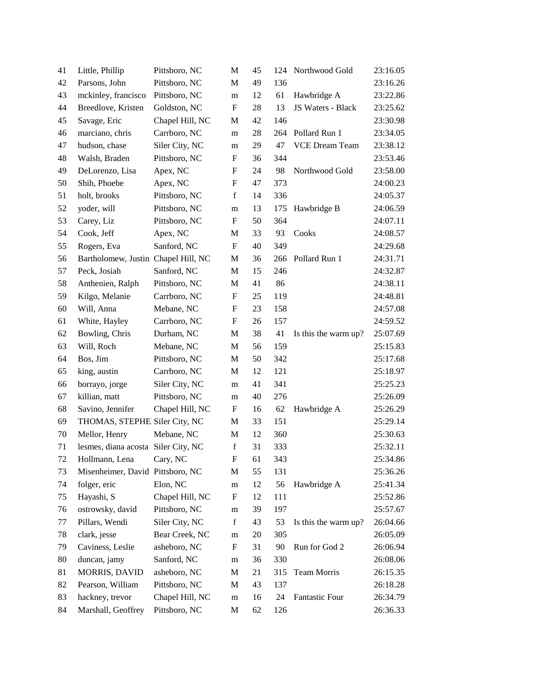| 41     | Little, Phillip                     | Pittsboro, NC   | M                         | 45 | 124 | Northwood Gold        | 23:16.05 |
|--------|-------------------------------------|-----------------|---------------------------|----|-----|-----------------------|----------|
| 42     | Parsons, John                       | Pittsboro, NC   | M                         | 49 | 136 |                       | 23:16.26 |
| 43     | mckinley, francisco                 | Pittsboro, NC   | m                         | 12 | 61  | Hawbridge A           | 23:22.86 |
| 44     | Breedlove, Kristen                  | Goldston, NC    | $\mathbf F$               | 28 | 13  | JS Waters - Black     | 23:25.62 |
| 45     | Savage, Eric                        | Chapel Hill, NC | M                         | 42 | 146 |                       | 23:30.98 |
| 46     | marciano, chris                     | Carrboro, NC    | m                         | 28 | 264 | Pollard Run 1         | 23:34.05 |
| 47     | hudson, chase                       | Siler City, NC  | m                         | 29 | 47  | <b>VCE Dream Team</b> | 23:38.12 |
| 48     | Walsh, Braden                       | Pittsboro, NC   | F                         | 36 | 344 |                       | 23:53.46 |
| 49     | DeLorenzo, Lisa                     | Apex, NC        | F                         | 24 | 98  | Northwood Gold        | 23:58.00 |
| 50     | Shih, Phoebe                        | Apex, NC        | ${\bf F}$                 | 47 | 373 |                       | 24:00.23 |
| 51     | holt, brooks                        | Pittsboro, NC   | $\mathbf f$               | 14 | 336 |                       | 24:05.37 |
| 52     | yoder, will                         | Pittsboro, NC   | m                         | 13 | 175 | Hawbridge B           | 24:06.59 |
| 53     | Carey, Liz                          | Pittsboro, NC   | $\boldsymbol{\mathrm{F}}$ | 50 | 364 |                       | 24:07.11 |
| 54     | Cook, Jeff                          | Apex, NC        | M                         | 33 | 93  | Cooks                 | 24:08.57 |
| 55     | Rogers, Eva                         | Sanford, NC     | $\boldsymbol{\mathrm{F}}$ | 40 | 349 |                       | 24:29.68 |
| 56     | Bartholomew, Justin Chapel Hill, NC |                 | M                         | 36 | 266 | Pollard Run 1         | 24:31.71 |
| 57     | Peck, Josiah                        | Sanford, NC     | M                         | 15 | 246 |                       | 24:32.87 |
| 58     | Anthenien, Ralph                    | Pittsboro, NC   | M                         | 41 | 86  |                       | 24:38.11 |
| 59     | Kilgo, Melanie                      | Carrboro, NC    | F                         | 25 | 119 |                       | 24:48.81 |
| 60     | Will, Anna                          | Mebane, NC      | $\boldsymbol{\mathrm{F}}$ | 23 | 158 |                       | 24:57.08 |
| 61     | White, Hayley                       | Carrboro, NC    | F                         | 26 | 157 |                       | 24:59.52 |
| 62     | Bowling, Chris                      | Durham, NC      | M                         | 38 | 41  | Is this the warm up?  | 25:07.69 |
| 63     | Will, Roch                          | Mebane, NC      | M                         | 56 | 159 |                       | 25:15.83 |
| 64     | Bos, Jim                            | Pittsboro, NC   | M                         | 50 | 342 |                       | 25:17.68 |
| 65     | king, austin                        | Carrboro, NC    | M                         | 12 | 121 |                       | 25:18.97 |
| 66     | borrayo, jorge                      | Siler City, NC  | m                         | 41 | 341 |                       | 25:25.23 |
| 67     | killian, matt                       | Pittsboro, NC   | m                         | 40 | 276 |                       | 25:26.09 |
| 68     | Savino, Jennifer                    | Chapel Hill, NC | $\boldsymbol{F}$          | 16 | 62  | Hawbridge A           | 25:26.29 |
| 69     | THOMAS, STEPHE Siler City, NC       |                 | M                         | 33 | 151 |                       | 25:29.14 |
| $70\,$ | Mellor, Henry                       | Mebane, NC      | $\mathbf M$               | 12 | 360 |                       | 25:30.63 |
| 71     | lesmes, diana acosta Siler City, NC |                 | $\mathbf f$               | 31 | 333 |                       | 25:32.11 |
| $72\,$ | Hollmann, Lena                      | Cary, NC        | $\mathbf F$               | 61 | 343 |                       | 25:34.86 |
| 73     | Misenheimer, David Pittsboro, NC    |                 | M                         | 55 | 131 |                       | 25:36.26 |
| 74     | folger, eric                        | Elon, NC        | ${\rm m}$                 | 12 | 56  | Hawbridge A           | 25:41.34 |
| 75     | Hayashi, S                          | Chapel Hill, NC | F                         | 12 | 111 |                       | 25:52.86 |
| 76     | ostrowsky, david                    | Pittsboro, NC   | m                         | 39 | 197 |                       | 25:57.67 |
| 77     | Pillars, Wendi                      | Siler City, NC  | $\mathbf f$               | 43 | 53  | Is this the warm up?  | 26:04.66 |
| 78     | clark, jesse                        | Bear Creek, NC  | m                         | 20 | 305 |                       | 26:05.09 |
| 79     | Caviness, Leslie                    | asheboro, NC    | F                         | 31 | 90  | Run for God 2         | 26:06.94 |
| 80     | duncan, jamy                        | Sanford, NC     | m                         | 36 | 330 |                       | 26:08.06 |
| 81     | MORRIS, DAVID                       | asheboro, NC    | M                         | 21 | 315 | Team Morris           | 26:15.35 |
| 82     | Pearson, William                    | Pittsboro, NC   | M                         | 43 | 137 |                       | 26:18.28 |
| 83     | hackney, trevor                     | Chapel Hill, NC | ${\bf m}$                 | 16 | 24  | Fantastic Four        | 26:34.79 |
| 84     | Marshall, Geoffrey                  | Pittsboro, NC   | M                         | 62 | 126 |                       | 26:36.33 |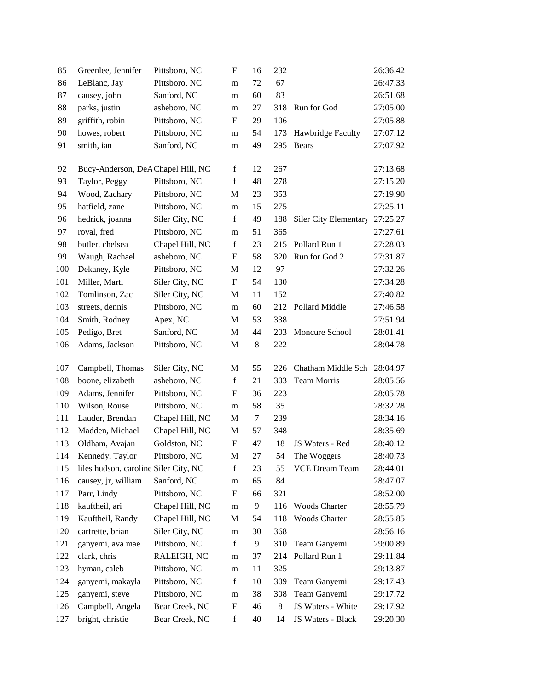| 85  | Greenlee, Jennifer                    | Pittsboro, NC   | F                         | 16      | 232   |                       | 26:36.42 |
|-----|---------------------------------------|-----------------|---------------------------|---------|-------|-----------------------|----------|
| 86  | LeBlanc, Jay                          | Pittsboro, NC   | m                         | 72      | 67    |                       | 26:47.33 |
| 87  | causey, john                          | Sanford, NC     | m                         | 60      | 83    |                       | 26:51.68 |
| 88  | parks, justin                         | asheboro, NC    | m                         | 27      | 318   | Run for God           | 27:05.00 |
| 89  | griffith, robin                       | Pittsboro, NC   | $\mathbf F$               | 29      | 106   |                       | 27:05.88 |
| 90  | howes, robert                         | Pittsboro, NC   | m                         | 54      | 173   | Hawbridge Faculty     | 27:07.12 |
| 91  | smith, ian                            | Sanford, NC     | m                         | 49      | 295   | Bears                 | 27:07.92 |
|     |                                       |                 |                           |         |       |                       |          |
| 92  | Bucy-Anderson, DeA Chapel Hill, NC    |                 | $\mathbf f$               | 12      | 267   |                       | 27:13.68 |
| 93  | Taylor, Peggy                         | Pittsboro, NC   | $\mathbf f$               | 48      | 278   |                       | 27:15.20 |
| 94  | Wood, Zachary                         | Pittsboro, NC   | M                         | 23      | 353   |                       | 27:19.90 |
| 95  | hatfield, zane                        | Pittsboro, NC   | m                         | 15      | 275   |                       | 27:25.11 |
| 96  | hedrick, joanna                       | Siler City, NC  | $\mathbf f$               | 49      | 188   | Siler City Elementary | 27:25.27 |
| 97  | royal, fred                           | Pittsboro, NC   | m                         | 51      | 365   |                       | 27:27.61 |
| 98  | butler, chelsea                       | Chapel Hill, NC | $\mathbf f$               | 23      | 215   | Pollard Run 1         | 27:28.03 |
| 99  | Waugh, Rachael                        | asheboro, NC    | $\boldsymbol{\mathrm{F}}$ | 58      | 320   | Run for God 2         | 27:31.87 |
| 100 | Dekaney, Kyle                         | Pittsboro, NC   | M                         | 12      | 97    |                       | 27:32.26 |
| 101 | Miller, Marti                         | Siler City, NC  | F                         | 54      | 130   |                       | 27:34.28 |
| 102 | Tomlinson, Zac                        | Siler City, NC  | M                         | 11      | 152   |                       | 27:40.82 |
| 103 | streets, dennis                       | Pittsboro, NC   | m                         | 60      | 212   | Pollard Middle        | 27:46.58 |
| 104 | Smith, Rodney                         | Apex, NC        | M                         | 53      | 338   |                       | 27:51.94 |
| 105 | Pedigo, Bret                          | Sanford, NC     | M                         | 44      | 203   | Moncure School        | 28:01.41 |
| 106 | Adams, Jackson                        | Pittsboro, NC   | M                         | $\,8\,$ | 222   |                       | 28:04.78 |
| 107 | Campbell, Thomas                      | Siler City, NC  | M                         | 55      | 226   | Chatham Middle Sch    | 28:04.97 |
| 108 | boone, elizabeth                      | asheboro, NC    | $\mathbf f$               | 21      | 303   | Team Morris           | 28:05.56 |
| 109 | Adams, Jennifer                       | Pittsboro, NC   | F                         | 36      | 223   |                       | 28:05.78 |
| 110 | Wilson, Rouse                         | Pittsboro, NC   | m                         | 58      | 35    |                       | 28:32.28 |
| 111 | Lauder, Brendan                       | Chapel Hill, NC | M                         | 7       | 239   |                       | 28:34.16 |
| 112 | Madden, Michael                       | Chapel Hill, NC | M                         | 57      | 348   |                       | 28:35.69 |
| 113 | Oldham, Avajan                        | Goldston, NC    | $\boldsymbol{\mathrm{F}}$ | 47      | 18    | JS Waters - Red       | 28:40.12 |
| 114 | Kennedy, Taylor                       | Pittsboro, NC   | M                         | 27      | 54    | The Woggers           | 28:40.73 |
| 115 | liles hudson, caroline Siler City, NC |                 | $\mathbf f$               | 23      | 55    | <b>VCE Dream Team</b> | 28:44.01 |
| 116 | causey, jr, william                   | Sanford, NC     | m                         | 65      | 84    |                       | 28:47.07 |
| 117 | Parr, Lindy                           | Pittsboro, NC   | F                         | 66      | 321   |                       | 28:52.00 |
| 118 | kauftheil, ari                        | Chapel Hill, NC | ${\rm m}$                 | 9       | 116   | <b>Woods Charter</b>  | 28:55.79 |
| 119 | Kauftheil, Randy                      | Chapel Hill, NC | M                         | 54      | 118   | <b>Woods Charter</b>  | 28:55.85 |
| 120 | cartrette, brian                      | Siler City, NC  | m                         | 30      | 368   |                       | 28:56.16 |
| 121 | ganyemi, ava mae                      | Pittsboro, NC   | $\mathbf f$               | 9       | 310   | Team Ganyemi          | 29:00.89 |
| 122 | clark, chris                          | RALEIGH, NC     | m                         | 37      | 214   | Pollard Run 1         | 29:11.84 |
| 123 | hyman, caleb                          | Pittsboro, NC   | m                         | 11      | 325   |                       | 29:13.87 |
| 124 | ganyemi, makayla                      | Pittsboro, NC   | $\mathbf f$               | 10      | 309   | Team Ganyemi          | 29:17.43 |
| 125 | ganyemi, steve                        | Pittsboro, NC   | m                         | 38      | 308   | Team Ganyemi          | 29:17.72 |
| 126 | Campbell, Angela                      | Bear Creek, NC  | $\mathbf F$               | 46      | $\,8$ | JS Waters - White     | 29:17.92 |
| 127 | bright, christie                      | Bear Creek, NC  | $\mathbf f$               | 40      | 14    | JS Waters - Black     | 29:20.30 |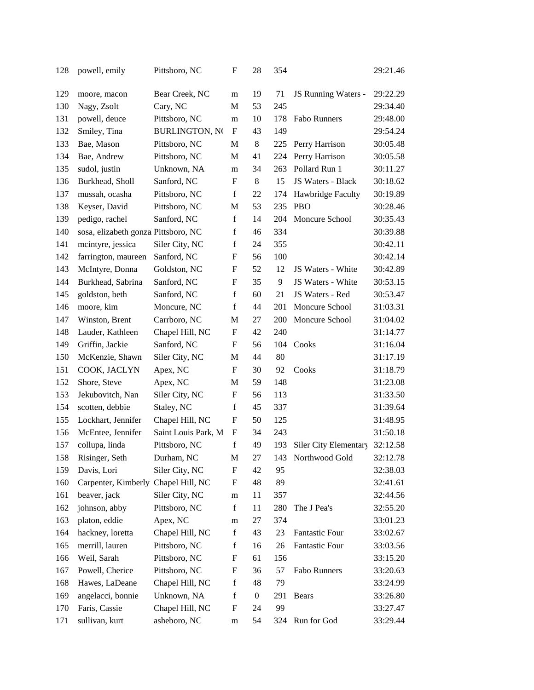| 128 | powell, emily                       | Pittsboro, NC         | F                         | 28               | 354 |                       | 29:21.46 |
|-----|-------------------------------------|-----------------------|---------------------------|------------------|-----|-----------------------|----------|
| 129 | moore, macon                        | Bear Creek, NC        | m                         | 19               | 71  | JS Running Waters -   | 29:22.29 |
| 130 | Nagy, Zsolt                         | Cary, NC              | M                         | 53               | 245 |                       | 29:34.40 |
| 131 | powell, deuce                       | Pittsboro, NC         | m                         | 10               | 178 | Fabo Runners          | 29:48.00 |
| 132 | Smiley, Tina                        | <b>BURLINGTON, NO</b> | $\boldsymbol{\mathrm{F}}$ | 43               | 149 |                       | 29:54.24 |
| 133 | Bae, Mason                          | Pittsboro, NC         | M                         | 8                | 225 | Perry Harrison        | 30:05.48 |
| 134 | Bae, Andrew                         | Pittsboro, NC         | M                         | 41               | 224 | Perry Harrison        | 30:05.58 |
| 135 | sudol, justin                       | Unknown, NA           | m                         | 34               | 263 | Pollard Run 1         | 30:11.27 |
| 136 | Burkhead, Sholl                     | Sanford, NC           | F                         | 8                | 15  | JS Waters - Black     | 30:18.62 |
| 137 | mussah, ocasha                      | Pittsboro, NC         | f                         | 22               | 174 | Hawbridge Faculty     | 30:19.89 |
| 138 | Keyser, David                       | Pittsboro, NC         | M                         | 53               | 235 | <b>PBO</b>            | 30:28.46 |
| 139 | pedigo, rachel                      | Sanford, NC           | $\mathbf f$               | 14               | 204 | Moncure School        | 30:35.43 |
| 140 | sosa, elizabeth gonza Pittsboro, NC |                       | $\mathbf f$               | 46               | 334 |                       | 30:39.88 |
| 141 | mcintyre, jessica                   | Siler City, NC        | $\mathbf f$               | 24               | 355 |                       | 30:42.11 |
| 142 | farrington, maureen                 | Sanford, NC           | $\boldsymbol{\mathrm{F}}$ | 56               | 100 |                       | 30:42.14 |
| 143 | McIntyre, Donna                     | Goldston, NC          | F                         | 52               | 12  | JS Waters - White     | 30:42.89 |
| 144 | Burkhead, Sabrina                   | Sanford, NC           | F                         | 35               | 9   | JS Waters - White     | 30:53.15 |
| 145 | goldston, beth                      | Sanford, NC           | $\mathbf f$               | 60               | 21  | JS Waters - Red       | 30:53.47 |
| 146 | moore, kim                          | Moncure, NC           | $\mathbf f$               | 44               | 201 | Moncure School        | 31:03.31 |
| 147 | Winston, Brent                      | Carrboro, NC          | $\mathbf M$               | 27               | 200 | Moncure School        | 31:04.02 |
| 148 | Lauder, Kathleen                    | Chapel Hill, NC       | F                         | 42               | 240 |                       | 31:14.77 |
| 149 | Griffin, Jackie                     | Sanford, NC           | F                         | 56               | 104 | Cooks                 | 31:16.04 |
| 150 | McKenzie, Shawn                     | Siler City, NC        | M                         | 44               | 80  |                       | 31:17.19 |
| 151 | COOK, JACLYN                        | Apex, NC              | F                         | 30               | 92  | Cooks                 | 31:18.79 |
| 152 | Shore, Steve                        | Apex, NC              | M                         | 59               | 148 |                       | 31:23.08 |
| 153 | Jekubovitch, Nan                    | Siler City, NC        | F                         | 56               | 113 |                       | 31:33.50 |
| 154 | scotten, debbie                     | Staley, NC            | f                         | 45               | 337 |                       | 31:39.64 |
| 155 | Lockhart, Jennifer                  | Chapel Hill, NC       | $\boldsymbol{\mathrm{F}}$ | 50               | 125 |                       | 31:48.95 |
| 156 | McEntee, Jennifer                   | Saint Louis Park, M   | $\boldsymbol{\mathrm{F}}$ | 34               | 243 |                       | 31:50.18 |
| 157 | collupa, linda                      | Pittsboro, NC         | $\mathbf f$               | 49               | 193 | Siler City Elementary | 32:12.58 |
| 158 | Risinger, Seth                      | Durham, NC            | M                         | $27\,$           | 143 | Northwood Gold        | 32:12.78 |
| 159 | Davis, Lori                         | Siler City, NC        | $\boldsymbol{F}$          | 42               | 95  |                       | 32:38.03 |
| 160 | Carpenter, Kimberly Chapel Hill, NC |                       | $\boldsymbol{F}$          | 48               | 89  |                       | 32:41.61 |
| 161 | beaver, jack                        | Siler City, NC        | m                         | 11               | 357 |                       | 32:44.56 |
| 162 | johnson, abby                       | Pittsboro, NC         | $\mathbf f$               | 11               | 280 | The J Pea's           | 32:55.20 |
| 163 | platon, eddie                       | Apex, NC              | m                         | 27               | 374 |                       | 33:01.23 |
| 164 | hackney, loretta                    | Chapel Hill, NC       | $\mathbf f$               | 43               | 23  | <b>Fantastic Four</b> | 33:02.67 |
| 165 | merrill, lauren                     | Pittsboro, NC         | $\mathbf f$               | 16               | 26  | <b>Fantastic Four</b> | 33:03.56 |
| 166 | Weil, Sarah                         | Pittsboro, NC         | F                         | 61               | 156 |                       | 33:15.20 |
| 167 | Powell, Cherice                     | Pittsboro, NC         | F                         | 36               | 57  | Fabo Runners          | 33:20.63 |
| 168 | Hawes, LaDeane                      | Chapel Hill, NC       | $\mathbf f$               | 48               | 79  |                       | 33:24.99 |
| 169 | angelacci, bonnie                   | Unknown, NA           | $\mathbf f$               | $\boldsymbol{0}$ | 291 | Bears                 | 33:26.80 |
| 170 | Faris, Cassie                       | Chapel Hill, NC       | $\boldsymbol{\mathrm{F}}$ | 24               | 99  |                       | 33:27.47 |
| 171 | sullivan, kurt                      | asheboro, NC          | m                         | 54               | 324 | Run for God           | 33:29.44 |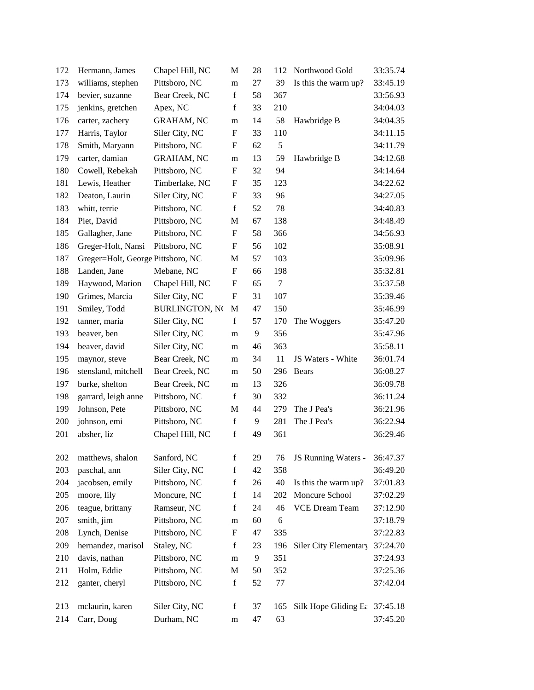| 172 | Hermann, James                    | Chapel Hill, NC       | M                         | 28 | 112            | Northwood Gold        | 33:35.74 |
|-----|-----------------------------------|-----------------------|---------------------------|----|----------------|-----------------------|----------|
| 173 | williams, stephen                 | Pittsboro, NC         | m                         | 27 | 39             | Is this the warm up?  | 33:45.19 |
| 174 | bevier, suzanne                   | Bear Creek, NC        | $\mathbf f$               | 58 | 367            |                       | 33:56.93 |
| 175 | jenkins, gretchen                 | Apex, NC              | $\mathbf f$               | 33 | 210            |                       | 34:04.03 |
| 176 | carter, zachery                   | <b>GRAHAM, NC</b>     | m                         | 14 | 58             | Hawbridge B           | 34:04.35 |
| 177 | Harris, Taylor                    | Siler City, NC        | F                         | 33 | 110            |                       | 34:11.15 |
| 178 | Smith, Maryann                    | Pittsboro, NC         | F                         | 62 | 5              |                       | 34:11.79 |
| 179 | carter, damian                    | <b>GRAHAM, NC</b>     | m                         | 13 | 59             | Hawbridge B           | 34:12.68 |
| 180 | Cowell, Rebekah                   | Pittsboro, NC         | F                         | 32 | 94             |                       | 34:14.64 |
| 181 | Lewis, Heather                    | Timberlake, NC        | F                         | 35 | 123            |                       | 34:22.62 |
| 182 | Deaton, Laurin                    | Siler City, NC        | F                         | 33 | 96             |                       | 34:27.05 |
| 183 | whitt, terrie                     | Pittsboro, NC         | $\mathbf f$               | 52 | 78             |                       | 34:40.83 |
| 184 | Piet, David                       | Pittsboro, NC         | M                         | 67 | 138            |                       | 34:48.49 |
| 185 | Gallagher, Jane                   | Pittsboro, NC         | F                         | 58 | 366            |                       | 34:56.93 |
| 186 | Greger-Holt, Nansi                | Pittsboro, NC         | F                         | 56 | 102            |                       | 35:08.91 |
| 187 | Greger=Holt, George Pittsboro, NC |                       | M                         | 57 | 103            |                       | 35:09.96 |
| 188 | Landen, Jane                      | Mebane, NC            | $\boldsymbol{\mathrm{F}}$ | 66 | 198            |                       | 35:32.81 |
| 189 | Haywood, Marion                   | Chapel Hill, NC       | F                         | 65 | $\overline{7}$ |                       | 35:37.58 |
| 190 | Grimes, Marcia                    | Siler City, NC        | $\boldsymbol{\mathrm{F}}$ | 31 | 107            |                       | 35:39.46 |
| 191 | Smiley, Todd                      | <b>BURLINGTON, NO</b> | M                         | 47 | 150            |                       | 35:46.99 |
| 192 | tanner, maria                     | Siler City, NC        | $\mathbf f$               | 57 | 170            | The Woggers           | 35:47.20 |
| 193 | beaver, ben                       | Siler City, NC        | m                         | 9  | 356            |                       | 35:47.96 |
| 194 | beaver, david                     | Siler City, NC        | m                         | 46 | 363            |                       | 35:58.11 |
| 195 | maynor, steve                     | Bear Creek, NC        | m                         | 34 | 11             | JS Waters - White     | 36:01.74 |
| 196 | stensland, mitchell               | Bear Creek, NC        | m                         | 50 | 296            | Bears                 | 36:08.27 |
| 197 | burke, shelton                    | Bear Creek, NC        | m                         | 13 | 326            |                       | 36:09.78 |
| 198 | garrard, leigh anne               | Pittsboro, NC         | $\mathbf f$               | 30 | 332            |                       | 36:11.24 |
| 199 | Johnson, Pete                     | Pittsboro, NC         | M                         | 44 | 279            | The J Pea's           | 36:21.96 |
| 200 | johnson, emi                      | Pittsboro, NC         | $\mathbf f$               | 9  | 281            | The J Pea's           | 36:22.94 |
| 201 | absher, liz                       | Chapel Hill, NC       | $\mathbf f$               | 49 | 361            |                       | 36:29.46 |
|     |                                   |                       |                           |    |                |                       |          |
| 202 | matthews, shalon                  | Sanford, NC           | $\mathbf f$               | 29 | 76             | JS Running Waters -   | 36:47.37 |
| 203 | paschal, ann                      | Siler City, NC        | $\mathbf f$               | 42 | 358            |                       | 36:49.20 |
| 204 | jacobsen, emily                   | Pittsboro, NC         | $\mathbf f$               | 26 | 40             | Is this the warm up?  | 37:01.83 |
| 205 | moore, lily                       | Moncure, NC           | $\mathbf f$               | 14 | 202            | Moncure School        | 37:02.29 |
| 206 | teague, brittany                  | Ramseur, NC           | $\mathbf f$               | 24 | 46             | <b>VCE Dream Team</b> | 37:12.90 |
| 207 | smith, jim                        | Pittsboro, NC         | m                         | 60 | 6              |                       | 37:18.79 |
| 208 | Lynch, Denise                     | Pittsboro, NC         | F                         | 47 | 335            |                       | 37:22.83 |
| 209 | hernandez, marisol                | Staley, NC            | $\mathbf f$               | 23 | 196            | Siler City Elementary | 37:24.70 |
| 210 | davis, nathan                     | Pittsboro, NC         | m                         | 9  | 351            |                       | 37:24.93 |
| 211 | Holm, Eddie                       | Pittsboro, NC         | M                         | 50 | 352            |                       | 37:25.36 |
| 212 | ganter, cheryl                    | Pittsboro, NC         | $\mathbf f$               | 52 | 77             |                       | 37:42.04 |
|     |                                   |                       |                           |    |                |                       |          |
| 213 | mclaurin, karen                   | Siler City, NC        | $\mathbf f$               | 37 | 165            | Silk Hope Gliding Ea  | 37:45.18 |
| 214 | Carr, Doug                        | Durham, NC            | m                         | 47 | 63             |                       | 37:45.20 |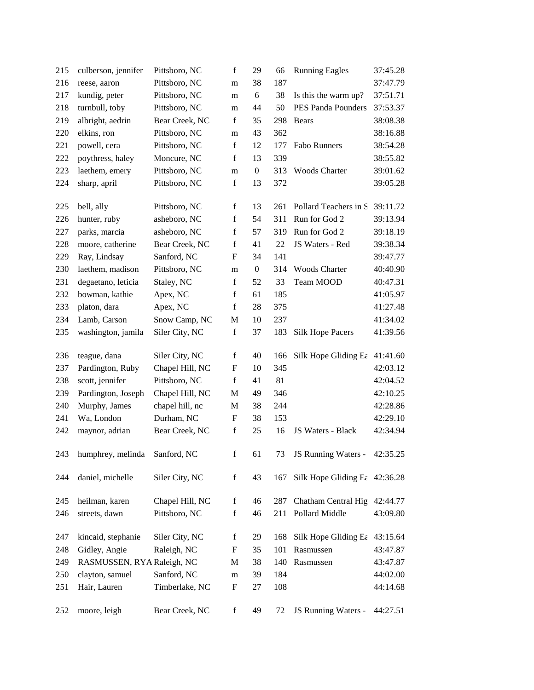| 215 | culberson, jennifer           | Pittsboro, NC   | $\mathbf f$               | 29               | 66  | <b>Running Eagles</b>                       | 37:45.28 |
|-----|-------------------------------|-----------------|---------------------------|------------------|-----|---------------------------------------------|----------|
| 216 | reese, aaron                  | Pittsboro, NC   | m                         | 38               | 187 |                                             | 37:47.79 |
| 217 | kundig, peter                 | Pittsboro, NC   | m                         | 6                | 38  | Is this the warm up?                        | 37:51.71 |
| 218 | turnbull, toby                | Pittsboro, NC   | m                         | 44               | 50  | PES Panda Pounders                          | 37:53.37 |
| 219 | albright, aedrin              | Bear Creek, NC  | $\mathbf f$               | 35               | 298 | <b>Bears</b>                                | 38:08.38 |
| 220 | elkins, ron                   | Pittsboro, NC   | m                         | 43               | 362 |                                             | 38:16.88 |
| 221 | powell, cera                  | Pittsboro, NC   | $\mathbf f$               | 12               | 177 | Fabo Runners                                | 38:54.28 |
| 222 | poythress, haley              | Moncure, NC     | $\mathbf f$               | 13               | 339 |                                             | 38:55.82 |
| 223 | laethem, emery                | Pittsboro, NC   | m                         | $\boldsymbol{0}$ | 313 | Woods Charter                               | 39:01.62 |
| 224 | sharp, april                  | Pittsboro, NC   | $\mathbf f$               | 13               | 372 |                                             | 39:05.28 |
|     |                               |                 |                           |                  |     |                                             |          |
| 225 | bell, ally                    | Pittsboro, NC   | f                         | 13               | 261 | Pollard Teachers in S                       | 39:11.72 |
| 226 | hunter, ruby                  | asheboro, NC    | $\mathbf f$               | 54               | 311 | Run for God 2                               | 39:13.94 |
| 227 | parks, marcia                 | asheboro, NC    | $\mathbf f$               | 57               | 319 | Run for God 2                               | 39:18.19 |
| 228 | moore, catherine              | Bear Creek, NC  | f                         | 41               | 22  | JS Waters - Red                             | 39:38.34 |
| 229 | Ray, Lindsay                  | Sanford, NC     | F                         | 34               | 141 |                                             | 39:47.77 |
| 230 | laethem, madison              | Pittsboro, NC   | m                         | $\boldsymbol{0}$ | 314 | Woods Charter                               | 40:40.90 |
| 231 | degaetano, leticia            | Staley, NC      | $\mathbf f$               | 52               | 33  | Team MOOD                                   | 40:47.31 |
| 232 | bowman, kathie                | Apex, NC        | f                         | 61               | 185 |                                             | 41:05.97 |
| 233 | platon, dara                  | Apex, NC        | f                         | 28               | 375 |                                             | 41:27.48 |
| 234 | Lamb, Carson                  | Snow Camp, NC   | $\mathbf M$               | 10               | 237 |                                             | 41:34.02 |
| 235 | washington, jamila            | Siler City, NC  | $\mathbf f$               | 37               | 183 | <b>Silk Hope Pacers</b>                     | 41:39.56 |
|     |                               |                 |                           |                  |     |                                             |          |
| 236 | teague, dana                  | Siler City, NC  | $\mathbf f$               | 40               | 166 | Silk Hope Gliding Ea                        | 41:41.60 |
| 237 | Pardington, Ruby              | Chapel Hill, NC | $\boldsymbol{\mathrm{F}}$ | 10               | 345 |                                             | 42:03.12 |
| 238 | scott, jennifer               | Pittsboro, NC   | $\mathbf f$               | 41               | 81  |                                             | 42:04.52 |
| 239 | Pardington, Joseph            | Chapel Hill, NC | M                         | 49               | 346 |                                             | 42:10.25 |
| 240 | Murphy, James                 | chapel hill, nc | M                         | 38               | 244 |                                             | 42:28.86 |
| 241 | Wa, London                    | Durham, NC      | F                         | 38               | 153 |                                             | 42:29.10 |
| 242 | maynor, adrian                | Bear Creek, NC  | $\mathbf f$               | 25               | 16  | JS Waters - Black                           | 42:34.94 |
|     |                               |                 |                           |                  |     |                                             |          |
| 243 | humphrey, melinda Sanford, NC |                 | f                         | 61               | 73  | JS Running Waters -                         | 42:35.25 |
|     |                               |                 |                           |                  |     |                                             |          |
| 244 | daniel, michelle              | Siler City, NC  | $\mathbf f$               | 43               |     | 167 Silk Hope Gliding E $\epsilon$ 42:36.28 |          |
| 245 | heilman, karen                | Chapel Hill, NC | $\mathbf f$               | 46               | 287 | Chatham Central Hig                         | 42:44.77 |
| 246 | streets, dawn                 | Pittsboro, NC   | f                         | 46               | 211 | Pollard Middle                              | 43:09.80 |
|     |                               |                 |                           |                  |     |                                             |          |
| 247 | kincaid, stephanie            | Siler City, NC  | $\mathbf f$               | 29               | 168 | Silk Hope Gliding Ea                        | 43:15.64 |
| 248 | Gidley, Angie                 | Raleigh, NC     | F                         | 35               | 101 | Rasmussen                                   | 43:47.87 |
| 249 | RASMUSSEN, RYA Raleigh, NC    |                 | M                         | 38               | 140 | Rasmussen                                   | 43:47.87 |
| 250 | clayton, samuel               | Sanford, NC     | m                         | 39               | 184 |                                             | 44:02.00 |
| 251 | Hair, Lauren                  | Timberlake, NC  | F                         | 27               | 108 |                                             | 44:14.68 |
|     |                               |                 |                           |                  |     |                                             |          |
| 252 | moore, leigh                  | Bear Creek, NC  | $\mathbf f$               | 49               | 72  | JS Running Waters -                         | 44:27.51 |
|     |                               |                 |                           |                  |     |                                             |          |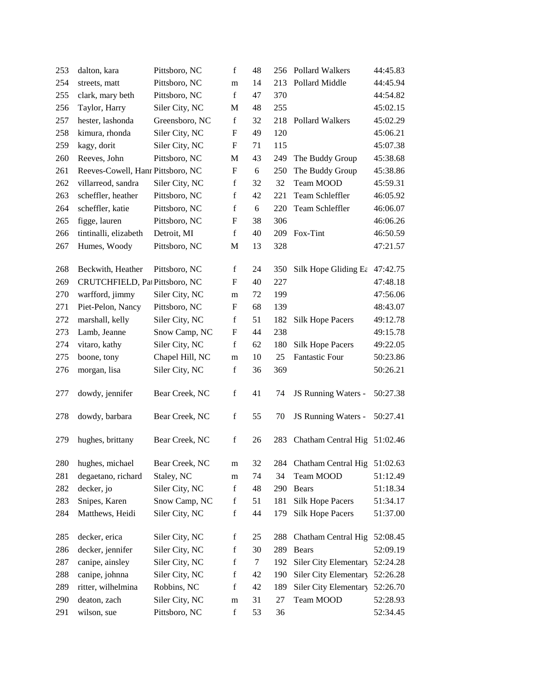| 253 | dalton, kara                      | Pittsboro, NC   | f                         | 48     | 256 | Pollard Walkers         | 44:45.83 |
|-----|-----------------------------------|-----------------|---------------------------|--------|-----|-------------------------|----------|
| 254 | streets, matt                     | Pittsboro, NC   | m                         | 14     | 213 | Pollard Middle          | 44:45.94 |
| 255 | clark, mary beth                  | Pittsboro, NC   | $\mathbf f$               | 47     | 370 |                         | 44:54.82 |
| 256 | Taylor, Harry                     | Siler City, NC  | M                         | 48     | 255 |                         | 45:02.15 |
| 257 | hester, lashonda                  | Greensboro, NC  | $\mathbf f$               | 32     | 218 | Pollard Walkers         | 45:02.29 |
| 258 | kimura, rhonda                    | Siler City, NC  | $\boldsymbol{\mathrm{F}}$ | 49     | 120 |                         | 45:06.21 |
| 259 | kagy, dorit                       | Siler City, NC  | F                         | 71     | 115 |                         | 45:07.38 |
| 260 | Reeves, John                      | Pittsboro, NC   | M                         | 43     | 249 | The Buddy Group         | 45:38.68 |
| 261 | Reeves-Cowell, Hanr Pittsboro, NC |                 | F                         | 6      | 250 | The Buddy Group         | 45:38.86 |
| 262 | villarreod, sandra                | Siler City, NC  | $\mathbf f$               | 32     | 32  | Team MOOD               | 45:59.31 |
| 263 | scheffler, heather                | Pittsboro, NC   | $\mathbf f$               | 42     | 221 | Team Schleffler         | 46:05.92 |
| 264 | scheffler, katie                  | Pittsboro, NC   | $\mathbf f$               | 6      | 220 | Team Schleffler         | 46:06.07 |
| 265 | figge, lauren                     | Pittsboro, NC   | F                         | 38     | 306 |                         | 46:06.26 |
| 266 | tintinalli, elizabeth             | Detroit, MI     | $\mathbf f$               | 40     | 209 | Fox-Tint                | 46:50.59 |
| 267 | Humes, Woody                      | Pittsboro, NC   | M                         | 13     | 328 |                         | 47:21.57 |
| 268 | Beckwith, Heather                 | Pittsboro, NC   | $\mathbf f$               | 24     | 350 | Silk Hope Gliding Ea    | 47:42.75 |
| 269 | CRUTCHFIELD, Pat Pittsboro, NC    |                 | F                         | 40     | 227 |                         | 47:48.18 |
| 270 | warfford, jimmy                   | Siler City, NC  | m                         | 72     | 199 |                         | 47:56.06 |
| 271 | Piet-Pelon, Nancy                 | Pittsboro, NC   | F                         | 68     | 139 |                         | 48:43.07 |
| 272 | marshall, kelly                   | Siler City, NC  | $\mathbf f$               | 51     | 182 | <b>Silk Hope Pacers</b> | 49:12.78 |
| 273 | Lamb, Jeanne                      | Snow Camp, NC   | F                         | 44     | 238 |                         | 49:15.78 |
| 274 | vitaro, kathy                     | Siler City, NC  | $\mathbf f$               | 62     | 180 | <b>Silk Hope Pacers</b> | 49:22.05 |
| 275 | boone, tony                       | Chapel Hill, NC | m                         | 10     | 25  | <b>Fantastic Four</b>   | 50:23.86 |
| 276 | morgan, lisa                      | Siler City, NC  | $\mathbf f$               | 36     | 369 |                         | 50:26.21 |
| 277 | dowdy, jennifer                   | Bear Creek, NC  | $\mathbf f$               | 41     | 74  | JS Running Waters -     | 50:27.38 |
| 278 | dowdy, barbara                    | Bear Creek, NC  | $\mathbf f$               | 55     | 70  | JS Running Waters -     | 50:27.41 |
| 279 | hughes, brittany                  | Bear Creek, NC  | $\mathbf f$               | 26     | 283 | Chatham Central Hig     | 51:02.46 |
| 280 | hughes, michael                   | Bear Creek, NC  | m                         | 32     | 284 | Chatham Central Hig     | 51:02.63 |
| 281 | degaetano, richard                | Staley, NC      | m                         | 74     | 34  | Team MOOD               | 51:12.49 |
| 282 | decker, jo                        | Siler City, NC  | $\mathbf f$               | 48     | 290 | Bears                   | 51:18.34 |
| 283 | Snipes, Karen                     | Snow Camp, NC   | f                         | 51     | 181 | <b>Silk Hope Pacers</b> | 51:34.17 |
| 284 | Matthews, Heidi                   | Siler City, NC  | $\mathbf f$               | 44     | 179 | <b>Silk Hope Pacers</b> | 51:37.00 |
| 285 | decker, erica                     | Siler City, NC  | $\mathbf f$               | 25     | 288 | Chatham Central Hig     | 52:08.45 |
| 286 | decker, jennifer                  | Siler City, NC  | f                         | 30     | 289 | <b>Bears</b>            | 52:09.19 |
| 287 | canipe, ainsley                   | Siler City, NC  | $\mathbf f$               | $\tau$ | 192 | Siler City Elementary   | 52:24.28 |
| 288 | canipe, johnna                    | Siler City, NC  | $\mathbf f$               | 42     | 190 | Siler City Elementary   | 52:26.28 |
| 289 | ritter, wilhelmina                | Robbins, NC     | $\mathbf f$               | 42     | 189 | Siler City Elementary   | 52:26.70 |
| 290 | deaton, zach                      | Siler City, NC  | ${\rm m}$                 | 31     | 27  | Team MOOD               | 52:28.93 |
| 291 | wilson, sue                       | Pittsboro, NC   | $\mathbf f$               | 53     | 36  |                         | 52:34.45 |